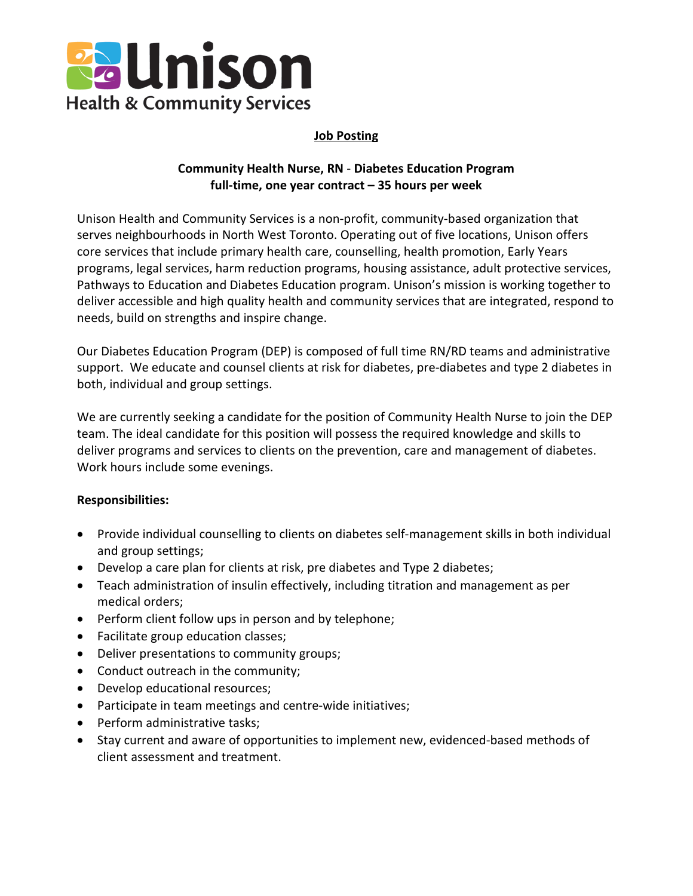

# **Job Posting**

# **Community Health Nurse, RN** - **Diabetes Education Program full-time, one year contract – 35 hours per week**

Unison Health and Community Services is a non-profit, community-based organization that serves neighbourhoods in North West Toronto. Operating out of five locations, Unison offers core services that include primary health care, counselling, health promotion, Early Years programs, legal services, harm reduction programs, housing assistance, adult protective services, Pathways to Education and Diabetes Education program. Unison's mission is working together to deliver accessible and high quality health and community services that are integrated, respond to needs, build on strengths and inspire change.

Our Diabetes Education Program (DEP) is composed of full time RN/RD teams and administrative support. We educate and counsel clients at risk for diabetes, pre-diabetes and type 2 diabetes in both, individual and group settings.

We are currently seeking a candidate for the position of Community Health Nurse to join the DEP team. The ideal candidate for this position will possess the required knowledge and skills to deliver programs and services to clients on the prevention, care and management of diabetes. Work hours include some evenings.

#### **Responsibilities:**

- Provide individual counselling to clients on diabetes self-management skills in both individual and group settings;
- Develop a care plan for clients at risk, pre diabetes and Type 2 diabetes;
- Teach administration of insulin effectively, including titration and management as per medical orders;
- Perform client follow ups in person and by telephone;
- Facilitate group education classes;
- Deliver presentations to community groups;
- Conduct outreach in the community;
- Develop educational resources;
- Participate in team meetings and centre-wide initiatives;
- Perform administrative tasks;
- Stay current and aware of opportunities to implement new, evidenced-based methods of client assessment and treatment.